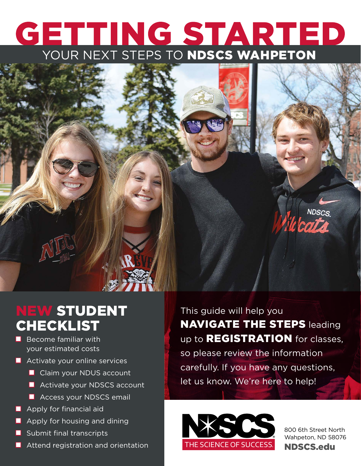# **GETTING STARTED**

### **NDSCS**

### NEW STUDENT CHECKLIST

- Become familiar with your estimated costs
- Activate your online services
	- Claim your NDUS account
	- Activate your NDSCS account
	- Access your NDSCS email
- Apply for financial aid
- Apply for housing and dining
- Submit final transcripts
- Attend registration and orientation

This guide will help you **NAVIGATE THE STEPS leading** up to **REGISTRATION** for classes, so please review the information carefully. If you have any questions, let us know. We're here to help!



800 6th Street North Wahpeton, ND 58076 NDSCS.edu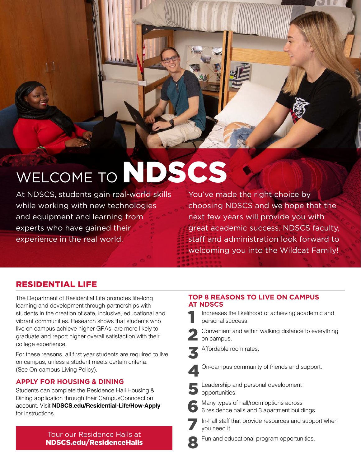

## WELCOME TO NDSCS

At NDSCS, students gain real-world skills while working with new technologies and equipment and learning from experts who have gained their experience in the real world.

You've made the right choice by choosing NDSCS and we hope that the next few years will provide you with great academic success. NDSCS faculty, staff and administration look forward to welcoming you into the Wildcat Family!

#### RESIDENTIAL LIFE

The Department of Residential Life promotes life-long learning and development through partnerships with students in the creation of safe, inclusive, educational and vibrant communities. Research shows that students who live on campus achieve higher GPAs, are more likely to graduate and report higher overall satisfaction with their college experience.

For these reasons, all first year students are required to live on campus, unless a student meets certain criteria. (See On-campus Living Policy).

#### **APPLY FOR HOUSING & DINING**

Students can complete the Residence Hall Housing & Dining application through their CampusConncection account. Visit **NDSCS.edu/Residential-Life/How-Apply** for instructions.

> Tour our Residence Halls at **1986** Fun and educational program opportunities. NDSCS.edu/ResidenceHalls

#### **TOP 8 REASONS TO LIVE ON CAMPUS AT NDSCS**

Increases the likelihood of achieving academic and personal success.

2 Convenient and within walking distance to everything on campus.

Affordable room rates.



On-campus community of friends and support.



Leadership and personal development opportunities.



6 Many types of hall/room options across 6 residence halls and 3 apartment buildings.

In-hall staff that provide resources and support when you need it.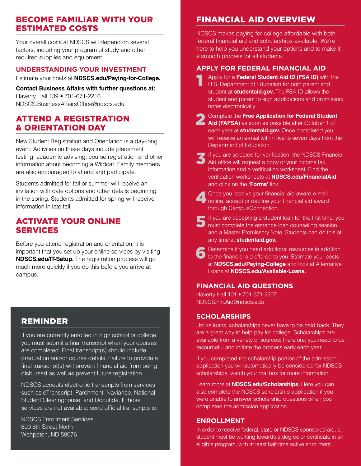#### BECOME FAMILIAR WITH YOUR ESTIMATED COSTS

Your overall costs at NDSCS will depend on several factors, including your program of study and other required supplies and equipment.

#### **UNDERSTANDING YOUR INVESTMENT**

Estimate your costs at **NDSCS.edu/Paying-for-College.**

#### **Contact Business Affairs with further questions at:**

Haverty Hall 139 • 701-671-2216 NDSCS.BusinessAffairsOffice@ndscs.edu

#### ATTEND A REGISTRATION & ORIENTATION DAY

New Student Registration and Orientation is a day-long event. Activities on these days include placement testing, academic advising, course registration and other information about becoming a Wildcat. Family members are also encouraged to attend and participate.

Students admitted for fall or summer will receive an invitation with date options and other details beginning in the spring. Students admitted for spring will receive information in late fall.

#### ACTIVATE YOUR ONLINE SERVICES

Before you attend registration and orientation, it is important that you set up your online services by visiting **NDSCS.edu/IT-Setup.** The registration process will go much more quickly if you do this before you arrive at campus.

#### REMINDER

If you are currently enrolled in high school or college you must submit a final transcript when your courses are completed. Final transcript(s) should include graduation and/or course details. Failure to provide a final transcript(s) will prevent financial aid from being disbursed as well as prevent future registration.

NDSCS accepts electronic transcripts from services such as eTranscript, Parchment, Naviance, National Student Clearinghouse, and Docufide. If those services are not available, send official transcripts to:

NDSCS Enrollment Services 800 6th Street North Wahpeton, ND 58076

#### FINANCIAL AID OVERVIEW

NDSCS makes paying for college affordable with both federal financial aid and scholarships available. We're here to help you understand your options and to make it a smooth process for all students.

#### **APPLY FOR FEDERAL FINANCIAL AID**

- 1 Apply for a **Federal Student Aid ID (FSA ID)** with the U.S. Department of Education for both parent and student at **studentaid.gov.** The FSA ID allows the student and parent to sign applications and promissory notes electronically.
- 2 Complete the **Free Application for Federal Student Aid (FAFSA)** as soon as possible after October 1 of each year at **studentaid.gov.** Once completed you will receive an e-mail within five to seven days from the Department of Education.
- 3If you are selected for verification, the NDSCS Financial Aid office will request a copy of your income tax information and a verification worksheet. Find the verification worksheets at **NDSCS.edu/FinancialAid**  and click on the **'Forms'** link.
- 4 Once you receive your financial aid award e-mail notice, accept or decline your financial aid award through CampusConnection.
- 5If you are accepting a student loan for the first time, you must complete the entrance loan counseling session and a Master Promissory Note. Students can do this at any time at **studentaid.gov.**
	- **Determine if you need additional resources in addition** to the financial aid offered to you. Estimate your costs at **NDSCS.edu/Paying-College** and look at Alternative Loans at **NDSCS.edu/Available-Loans.**

#### **FINANCIAL AID QUESTIONS**

Haverty Hall 101 • 701-671-2207 NDSCS.Fin.Aid@ndscs.edu

#### **SCHOLARSHIPS**

Unlike loans, scholarships never have to be paid back. They are a great way to help pay for college. Scholarships are available from a variety of sources; therefore, you need to be resourceful and initiate the process early each year.

If you completed the scholarship portion of the admission application you will automatically be considered for NDSCS scholarships, watch your mailbox for more information.

Learn more at **NDSCS.edu/Scholarships.** Here you can also complete the NDSCS scholarship application if you were unable to answer scholarship questions when you completed the admission application.

#### **ENROLLMENT**

In order to receive federal, state or NDSCS sponsored aid, a student must be working towards a degree or certificate in an eligible program, with at least half-time active enrollment.